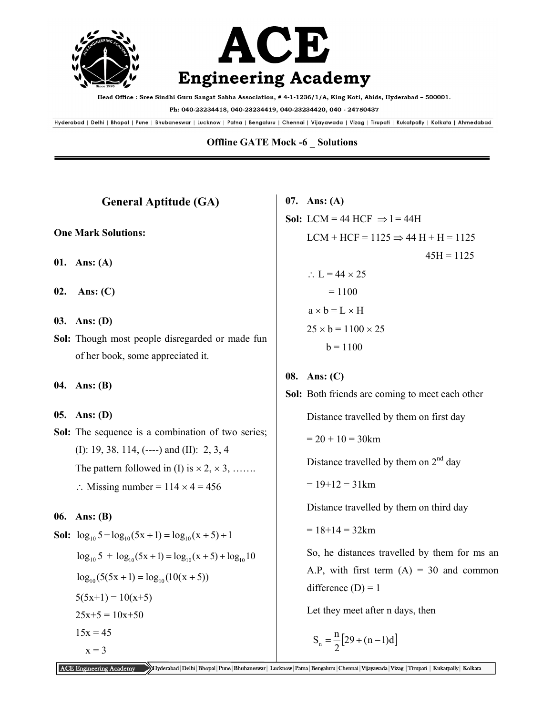

Head Office : Sree Sindhi Guru Sangat Sabha Association, #4-1-1236/1/A, King Koti, Abids, Hyderabad - 500001.

Ph: 040-23234418, 040-23234419, 040-23234420, 040 - 24750437

Hyderabad | Delhi | Bhopal | Pune | Bhubaneswar | Lucknow | Patna | Bengaluru | Chennai | Vijayawada | Vizag | Tirupati | Kukatpally | Kolkata | Ahmedabad

### **Offline GATE Mock -6 \_ Solutions**

| <b>General Aptitude (GA)</b>                                           | 07.  |  |
|------------------------------------------------------------------------|------|--|
| <b>One Mark Solutions:</b>                                             | Sol: |  |
|                                                                        |      |  |
| 01. Ans: (A)                                                           |      |  |
| 02. Ans: $(C)$                                                         |      |  |
| 03. Ans: (D)                                                           |      |  |
| Sol: Though most people disregarded or made fun                        |      |  |
| of her book, some appreciated it.                                      |      |  |
|                                                                        |      |  |
| 04. Ans: (B)                                                           | Sol: |  |
| 05. Ans: (D)                                                           |      |  |
| <b>Sol:</b> The sequence is a combination of two series;               |      |  |
| (I): 19, 38, 114, (----) and (II): 2, 3, 4                             |      |  |
| The pattern followed in (I) is $\times$ 2, $\times$ 3,                 |      |  |
| $\therefore$ Missing number = 114 $\times$ 4 = 456                     |      |  |
| 06. Ans: (B)                                                           |      |  |
| <b>Sol:</b> $\log_{10} 5 + \log_{10} (5x + 1) = \log_{10} (x + 5) + 1$ |      |  |
| $\log_{10} 5 + \log_{10} (5x + 1) = \log_{10} (x + 5) + \log_{10} 10$  |      |  |
| $1 \t\t (7.77 \t\t 1) \t\t 1 \t\t (1.07 \t\t 7)$                       |      |  |

 $\log_{10} (5(5x + 1) = \log_{10} (10(x + 5))$  $5(5x+1) = 10(x+5)$  $25x+5 = 10x+50$  $15x = 45$  $x = 3$ 

**07. Ans: (A)**   $LCM = 44 HCF \implies l = 44H$  $LCM + HCF = 1125 \Rightarrow 44 H + H = 1125$  $45H = 1125$  $\therefore$  L = 44  $\times$  25  $= 1100$  $a \times b = L \times H$  $25 \times b = 1100 \times 25$  $b = 1100$ 

#### Ans: (C)

**Sol:** Both friends are coming to meet each other Distance travelled by them on first day

 $= 20 + 10 = 30$  km

Distance travelled by them on  $2<sup>nd</sup>$  day

 $= 19 + 12 = 31$  km

Distance travelled by them on third day

 $= 18 + 14 = 32$  km

 So, he distances travelled by them for ms an A.P, with first term  $(A) = 30$  and common difference  $(D) = 1$ 

Let they meet after n days, then

$$
S_n = \frac{n}{2} [29 + (n-1)d]
$$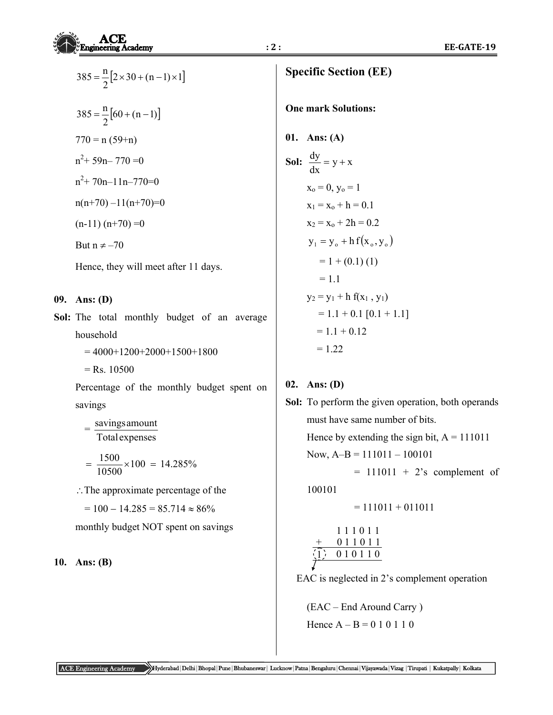|     | $385 = \frac{\text{n}}{2} [2 \times 30 + (\text{n} - 1) \times 1]$ | <b>Specific Section (EE)</b>        |
|-----|--------------------------------------------------------------------|-------------------------------------|
|     | $385 = \frac{n}{2} [60 + (n-1)]$                                   | <b>One mark Solutions:</b>          |
|     | $770 = n (59+n)$                                                   | 01. Ans: (A)                        |
|     | $n^2$ + 59n - 770 = 0                                              | <b>Sol:</b> $\frac{dy}{dx} = y + x$ |
|     | $n^2$ + 70n-11n-770=0                                              | $x_0 = 0, y_0 = 1$                  |
|     | $n(n+70) - 11(n+70)=0$                                             | $x_1 = x_0 + h = 0.1$               |
|     | $(n-11)(n+70)=0$                                                   | $x_2 = x_0 + 2h = 0.2$              |
|     | But $n \neq -70$                                                   | $y_1 = y_0 + h f(x_0, y_0)$         |
|     | Hence, they will meet after 11 days.                               | $= 1 + (0.1) (1)$                   |
|     |                                                                    | $= 1.1$                             |
| 09. | Ans: $(D)$                                                         | $y_2 = y_1 + h f(x_1, y_1)$         |
|     | Sol: The total monthly budget of an average                        | $= 1.1 + 0.1$ [0.1 + 1.1]           |
|     | household                                                          | $= 1.1 + 0.12$                      |
|     |                                                                    | 1.22                                |

= 4000+1200+2000+1500+1800

 $=$  Rs. 10500

 Percentage of the monthly budget spent on savings

 = Total expenses savingsamount

$$
= \frac{1500}{10500} \times 100 = 14.285\%
$$

: The approximate percentage of the

 $= 100 - 14.285 = 85.714 \approx 86\%$ 

monthly budget NOT spent on savings

## **10. Ans: (B)**

01. Ans: (A)  
\nSol: 
$$
\frac{dy}{dx} = y + x
$$
  
\n $x_0 = 0, y_0 = 1$   
\n $x_1 = x_0 + h = 0.1$   
\n $x_2 = x_0 + 2h = 0.2$   
\n $y_1 = y_0 + h f(x_0, y_0)$   
\n $= 1 + (0.1) (1)$   
\n $= 1.1$   
\n $y_2 = y_1 + h f(x_1, y_1)$   
\n $= 1.1 + 0.1 [0.1 + 1.1]$   
\n $= 1.1 + 0.12$   
\n $= 1.22$ 

# **02. Ans: (D)**

**Sol:** To perform the given operation, both operands must have same number of bits. Hence by extending the sign bit,  $A = 111011$ Now,  $A-B = 111011 - 100101$  $= 111011 + 2$ 's complement of 100101  $= 111011 + 011011$ 

$$
\begin{array}{c}\n111011 \\
+ 011011 \\
\hline\n\left(1\right) 010110\n\end{array}
$$

EAC is neglected in 2's complement operation

 (EAC – End Around Carry ) Hence  $A - B = 0 1 0 1 1 0$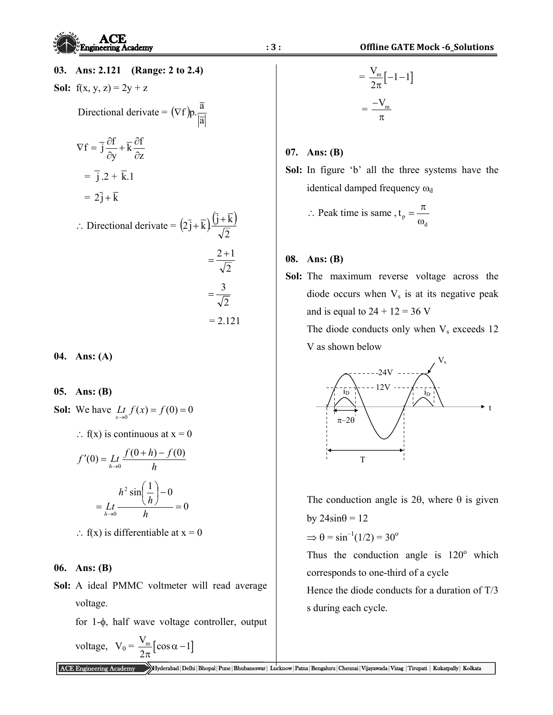**Sol:**  $f(x, y, z) = 2y + z$ 

Directional derivative = 
$$
(\nabla f)p.\frac{\overline{a}}{|\overline{a}|}
$$

$$
\nabla f = \overline{j} \frac{\partial f}{\partial y} + \overline{k} \frac{\partial f}{\partial z}
$$

$$
= \overline{j} \cdot 2 + \overline{k} \cdot 1
$$

$$
= 2\overline{j} + \overline{k}
$$

 $\therefore$  Directional derivate =  $(2\overline{j} + \overline{k}) \frac{(\overline{j} + \overline{k})}{\overline{k}}$ 2  $(2\bar{j} + \bar{k}) \frac{(\bar{j} + \bar{k})}{\sqrt{n}}$ 

$$
= \frac{2+1}{\sqrt{2}}
$$

$$
= \frac{3}{\sqrt{2}}
$$

$$
= 2.121
$$

**04. Ans: (A)** 

## **05. Ans: (B)**

**Sol:** We have  $\lim_{x \to 0} f(x) = f(0) = 0$ 

 $\therefore$  f(x) is continuous at x = 0

$$
f'(0) = \lim_{h \to 0} \frac{f(0+h) - f(0)}{h}
$$

$$
= \lim_{h \to 0} \frac{h^2 \sin\left(\frac{1}{h}\right) - 0}{h} = 0
$$

 $\therefore$  f(x) is differentiable at  $x = 0$ 

#### **06. Ans: (B)**

**Sol:** A ideal PMMC voltmeter will read average voltage.

for  $1-\phi$ , half wave voltage controller, output

$$
voltage, \ \ V_0 = \frac{V_m}{2\pi} [\cos \alpha - 1]
$$

$$
\underline{3:}
$$

$$
= \frac{V_m}{2\pi} \left[ -1 - 1 \right]
$$

$$
= \frac{-V_m}{\pi}
$$

### **07. Ans: (B)**

**Sol:** In figure 'b' all the three systems have the identical damped frequency  $\omega_d$ 

$$
\therefore \text{ Peak time is same, } t_{p} = \frac{\pi}{\omega_{d}}
$$

### **08. Ans: (B)**

**Sol:** The maximum reverse voltage across the diode occurs when  $V_s$  is at its negative peak and is equal to  $24 + 12 = 36$  V

The diode conducts only when  $V_s$  exceeds 12 V as shown below



The conduction angle is 2 $\theta$ , where  $\theta$  is given by  $24\sin\theta = 12$ 

 $\Rightarrow$   $\theta$  = sin<sup>-1</sup>(1/2) = 30<sup>o</sup>

Thus the conduction angle is  $120^{\circ}$  which corresponds to one-third of a cycle

 Hence the diode conducts for a duration of T/3 s during each cycle.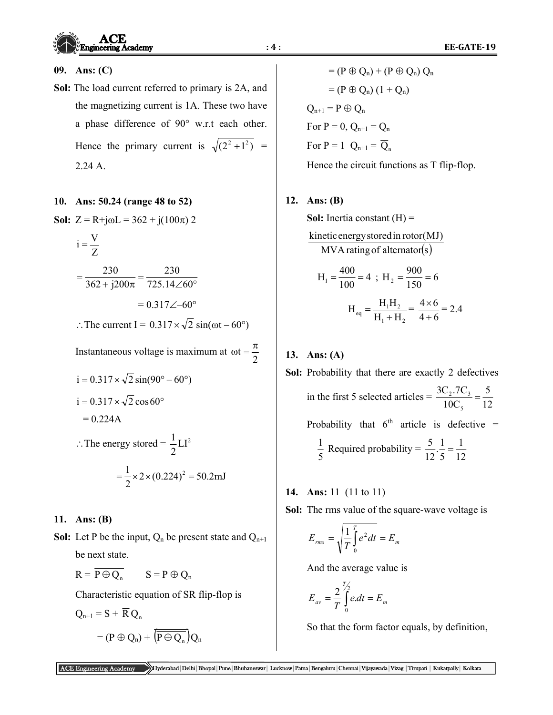### **09. Ans: (C)**

**Sol:** The load current referred to primary is 2A, and the magnetizing current is 1A. These two have a phase difference of  $90^\circ$  w.r.t each other. Hence the primary current is  $\sqrt{(2^2 + 1^2)}$  = 2.24 A.

### **10. Ans: 50.24 (range 48 to 52)**

**Sol:**  $Z = R + j\omega L = 362 + j(100\pi) 2$ 

$$
i = \frac{V}{Z}
$$
  
=  $\frac{230}{362 + j200\pi} = \frac{230}{725.14\angle 60^\circ}$   
= 0.317 $\angle -60^\circ$ 

 $\therefore$  The current I = 0.317  $\times \sqrt{2}$  sin( $\omega t - 60^{\circ}$ )

Instantaneous voltage is maximum at  $\omega t = \frac{\pi}{2}$  $i = 0.317 \times \sqrt{2} \sin(90^\circ - 60^\circ)$  $i = 0.317 \times \sqrt{2} \cos 60^{\circ}$  $= 0.224A$  $\therefore$  The energy stored =  $\frac{1}{2}LI^2$ 2

$$
=\frac{1}{2} \times 2 \times (0.224)^2 = 50.2 \text{mJ}
$$

## **11. Ans: (B)**

**Sol:** Let P be the input,  $Q_n$  be present state and  $Q_{n+1}$ be next state.

$$
R = \overline{P \oplus Q_n} \qquad S = P \oplus Q_n
$$

Characteristic equation of SR flip-flop is

$$
Q_{n+1} = S + \overline{R} Q_n
$$

$$
= (P \oplus Q_n) + \overline{(\overline{P \oplus Q_n})} Q_n
$$

 $= (P \oplus Q_n) + (P \oplus Q_n) Q_n$  $= (P \oplus Q_n) (1 + Q_n)$  $Q_{n+1} = P \oplus Q_n$ For  $P = 0$ ,  $Q_{n+1} = Q_n$ For  $P = 1$   $Q_{n+1} = \overline{Q}_n$ 

Hence the circuit functions as T flip-flop.

## **12. Ans: (B)**

**Sol:** Inertia constant (H) =  $MVA$  rating of alternator(s) kineticenergystoredin rotor(MJ)  $H_1 = \frac{400}{100} = 4$  $H_1 = \frac{400}{100} = 4$ ;  $H_2 = \frac{900}{150} = 6$ 

$$
H_{eq} = \frac{H_1 H_2}{H_1 + H_2} = \frac{4 \times 6}{4 + 6} = 2.4
$$

# **13. Ans: (A)**

- **Sol:** Probability that there are exactly 2 defectives in the first 5 selected articles = 12 5 10C 3C .7C 5  $\frac{2 \cdot 7 - 3}{2 \cdot 7} = \frac{3}{12}$ Probability that  $6<sup>th</sup>$  article is defective =  $\frac{1}{5}$  Required probability =  $\frac{5}{12} \cdot \frac{1}{5} = \frac{1}{12}$ 5  $rac{5}{12} \cdot \frac{1}{5} =$
- **14. Ans:** 11 (11 to 11)
- **Sol:** The rms value of the square-wave voltage is

$$
E_{rms} = \sqrt{\frac{1}{T} \int_{0}^{T} e^2 dt} = E_m
$$

And the average value is

$$
E_{av} = \frac{2}{T} \int_{0}^{T/2} e \, dt = E_m
$$

So that the form factor equals, by definition,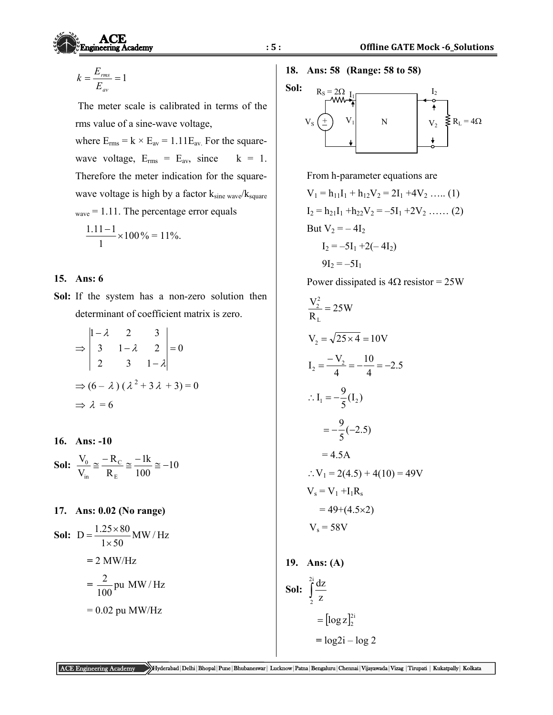$$
k = \frac{E_{\rm rms}}{E_{\rm av}} = 1
$$

**Engineering Academy** 

 The meter scale is calibrated in terms of the rms value of a sine-wave voltage, where  $E_{rms} = k \times E_{av} = 1.11 E_{av}$ . For the square-

wave voltage,  $E_{rms} = E_{av}$ , since  $k = 1$ . Therefore the meter indication for the squarewave voltage is high by a factor  $k_{\text{sine wave}}/k_{\text{square}}$  $w<sub>wave</sub> = 1.11$ . The percentage error equals  $\frac{1.11}{1.100} \times 100$  $\frac{1.11-1}{1.11}$  × 100 % = 11%.

#### **15. Ans: 6**

1

**Sol:** If the system has a non-zero solution then determinant of coefficient matrix is zero.

$$
\Rightarrow \begin{vmatrix} 1 - \lambda & 2 & 3 \\ 3 & 1 - \lambda & 2 \\ 2 & 3 & 1 - \lambda \end{vmatrix} = 0
$$
  
\n
$$
\Rightarrow (6 - \lambda) (\lambda^2 + 3\lambda + 3) = 0
$$
  
\n
$$
\Rightarrow \lambda = 6
$$

**16. Ans: -10** 

$$
\text{Sol:} \ \frac{\text{V}_0}{\text{V}_{\text{in}}} \cong \frac{-\text{R}_{\text{C}}}{\text{R}_{\text{E}}} \cong \frac{-1k}{100} \cong -10
$$

**17. Ans: 0.02 (No range)** 

**Sol:** 
$$
D = \frac{1.25 \times 80}{1 \times 50}
$$
 MW/Hz  
= 2 MW/Hz  
=  $\frac{2}{100}$  pu MW/Hz  
= 0.02 pu MW/Hz

**18. Ans: 58 (Range: 58 to 58)** 

**Sol:** 



From h-parameter equations are

$$
V_1 = h_{11}I_1 + h_{12}V_2 = 2I_1 + 4V_2 \dots (1)
$$
  
\n
$$
I_2 = h_{21}I_1 + h_{22}V_2 = -5I_1 + 2V_2 \dots (2)
$$
  
\nBut  $V_2 = -4I_2$   
\n
$$
I_2 = -5I_1 + 2(-4I_2)
$$
  
\n
$$
9I_2 = -5I_1
$$

Power dissipated is  $4\Omega$  resistor = 25W

$$
\frac{V_2^2}{R_L} = 25W
$$
  
\n
$$
V_2 = \sqrt{25 \times 4} = 10V
$$
  
\n
$$
I_2 = \frac{-V_2}{4} = -\frac{10}{4} = -2.5
$$
  
\n
$$
\therefore I_1 = -\frac{9}{5}(I_2)
$$
  
\n
$$
= -\frac{9}{5}(-2.5)
$$
  
\n
$$
= 4.5A
$$
  
\n
$$
\therefore V_1 = 2(4.5) + 4(10) = 49V
$$
  
\n
$$
V_s = V_1 + I_1R_s
$$
  
\n
$$
= 49 + (4.5 \times 2)
$$
  
\n
$$
V_s = 58V
$$

**19. Ans: (A)** 

**Sol:** 
$$
\int_{2}^{2i} \frac{dz}{z}
$$

$$
= [\log z]_{2}^{2i}
$$

$$
= \log 2i - \log 2
$$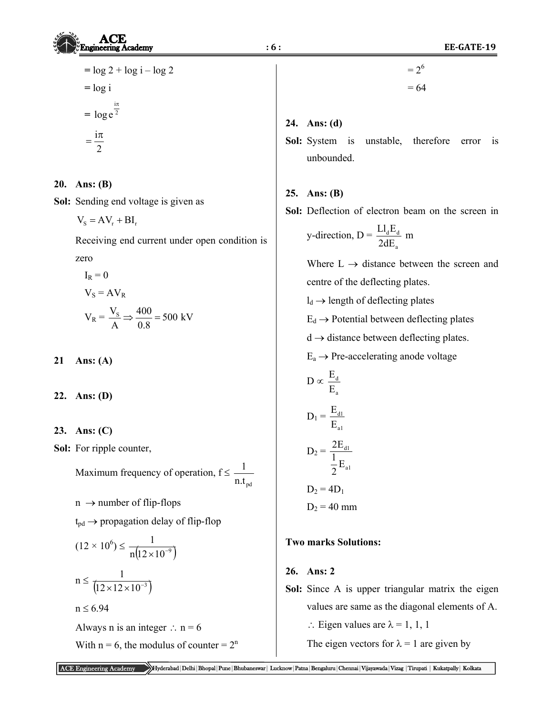$=\frac{i\pi}{2}$ 

## **20. Ans: (B)**

**Sol:** Sending end voltage is given as

$$
V_s = AV_r + BI_r
$$

 Receiving end current under open condition is zero

$$
I_R = 0
$$
  

$$
V_S = AV_R
$$
  

$$
V_R = \frac{V_S}{A} \Rightarrow \frac{400}{0.8} = 500 \text{ kV}
$$

**21 Ans: (A)** 

**22. Ans: (D)** 

## **23. Ans: (C)**

**Sol:** For ripple counter,

Maximum frequency of operation,  $f \leq$  $n.t_{pd}$ 1  $n \rightarrow$  number of flip-flops  $t_{pd} \rightarrow$  propagation delay of flip-flop  $(12 \times 10^{6}) \leq \frac{1}{n(12 \times 10^{-9})}$  $\times 10^{-}$ 

$$
n \le \frac{1}{\left(12 \times 12 \times 10^{-3}\right)}
$$
  
n \le 6.94

Always n is an integer  $\therefore$  n = 6

With  $n = 6$ , the modulus of counter =  $2<sup>n</sup>$ 

$$
= 26
$$

$$
= 64
$$

## **24. Ans: (d)**

**Sol:** System is unstable, therefore error is unbounded.

## **25. Ans: (B)**

**Sol:** Deflection of electron beam on the screen in

y-direction, 
$$
D = \frac{LI_d E_d}{2dE_a}
$$
 m

Where  $L \rightarrow$  distance between the screen and centre of the deflecting plates.

 $l_d \rightarrow$  length of deflecting plates

 $E_d \rightarrow$  Potential between deflecting plates

 $d \rightarrow$  distance between deflecting plates.

 $E_a \rightarrow$  Pre-accelerating anode voltage

$$
D \propto \frac{E_d}{E_a}
$$
  

$$
D_1 = \frac{E_{d1}}{E_{a1}}
$$
  

$$
D_2 = \frac{2E_{d1}}{\frac{1}{2}E_{a1}}
$$
  

$$
D_2 = 4D_1
$$
  

$$
D_2 = 40 \text{ mm}
$$

## **Two marks Solutions:**

### **26. Ans: 2**

**Sol:** Since A is upper triangular matrix the eigen values are same as the diagonal elements of A.

 $\therefore$  Eigen values are  $\lambda = 1, 1, 1$ 

The eigen vectors for  $\lambda = 1$  are given by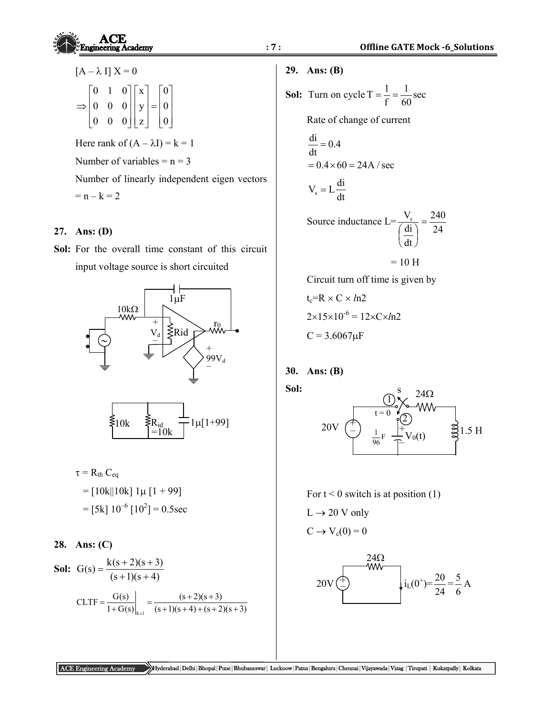| ACE                     | 9. Ans: (B)  | Office GATE Mo |
|-------------------------|--------------|----------------|
| $[A - \lambda I] X = 0$ | 29. Ans: (B) |                |

$$
\Rightarrow \begin{bmatrix} 0 & 1 & 0 \\ 0 & 0 & 0 \\ 0 & 0 & 0 \end{bmatrix} \begin{bmatrix} x \\ y \\ z \end{bmatrix} = \begin{bmatrix} 0 \\ 0 \\ 0 \end{bmatrix}
$$

Here rank of  $(A - \lambda I) = k = 1$ Number of variables  $= n = 3$  Number of linearly independent eigen vectors  $= n - k = 2$ 

### **27. Ans: (D)**

**Sol:** For the overall time constant of this circuit input voltage source is short circuited





$$
\tau = R_{th} C_{eq}
$$
  
= [10k||10k] 1 $\mu$  [1 + 99]  
= [5k] 10<sup>-6</sup> [10<sup>2</sup>] = 0.5sec

28. Ans: (C)  
\nSol: 
$$
G(s) = \frac{k(s+2)(s+3)}{(s+1)(s+4)}
$$
  
\n
$$
CLTF = \frac{G(s)}{1+G(s)}\Big|_{k=1} = \frac{(s+2)(s+3)}{(s+1)(s+4) + (s+2)(s+3)}
$$

### **29. Ans: (B)**

**Sol:** Turn on cycle T = 
$$
\frac{1}{f} = \frac{1}{60}
$$
 sec

Rate of change of current

$$
\frac{di}{dt} = 0.4
$$
  
= 0.4 × 60 = 24A / sec

 $V_{\rm s} = L \frac{\text{di}}{\text{dt}}$ 

 Source inductance L= 24 240 dt di  $\frac{V_s}{4\pi\sqrt{2}} =$  $\overline{\phantom{a}}$ )  $\left(\frac{di}{l}\right)$  $\setminus$ ſ

 $= 10$  H

Circuit turn off time is given by

 $t_c=R \times C \times ln2$  $2 \times 15 \times 10^{-6} = 12 \times C \times ln2$  $C = 3.6067 \mu F$ 

## **30. Ans: (B)**

**Sol:** 



For  $t < 0$  switch is at position (1)

 $L \rightarrow 20$  V only

$$
C \to V_c(0) = 0
$$

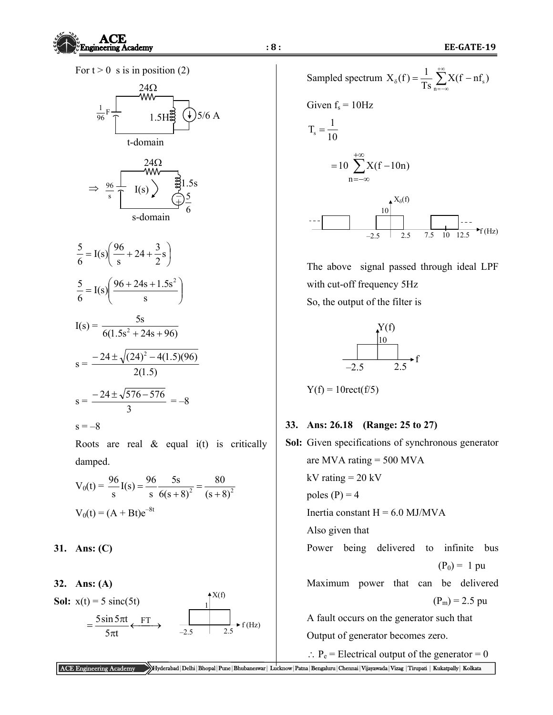For  $t > 0$  s is in position (2)



$$
\frac{5}{6} = I(s) \left( \frac{96}{s} + 24 + \frac{3}{2}s \right)
$$
  

$$
\frac{5}{6} = I(s) \left( \frac{96 + 24s + 1.5s^2}{s} \right)
$$
  

$$
I(s) = \frac{5s}{6(1.5s^2 + 24s + 96)}
$$
  

$$
s = \frac{-24 \pm \sqrt{(24)^2 - 4(1.5)(96)}}{2(1.5)}
$$
  

$$
s = \frac{-24 \pm \sqrt{576 - 576}}{3} = -8
$$
  

$$
s = -8
$$

Roots are real  $\&$  equal  $i(t)$  is critically damped.

$$
V_0(t) = \frac{96}{s}I(s) = \frac{96}{s} \frac{5s}{6(s+8)^2} = \frac{80}{(s+8)^2}
$$

$$
V_0(t) = (A + Bt)e^{-8t}
$$

#### **31. Ans: (C)**

**32. Ans: (A) Sol:**  $x(t) = 5 \text{ sinc}(5t)$  $=\frac{5\sin 5\pi t}{5\pi t} \leftarrow \frac{FT}{t}$  $5\pi$ t  $5\sin 5\pi t$  $-2.5$  2.5 1  $AX(f)$  $\blacktriangleright$  f (Hz)

Sampled spectrum 
$$
X_{\delta}(f) = \frac{1}{Ts} \sum_{n=-\infty}^{+\infty} X(f - nf_s)
$$

\nGiven  $f_s = 10 Hz$ 

\n $T_s = \frac{1}{10}$ 

\n $= 10 \sum_{n=-\infty}^{+\infty} X(f - 10n)$ 

\n---

\n10

\n10

\n2.5 2.5 7.5 10 12.5  $\rightarrow$  f (Hz)

 The above signal passed through ideal LPF with cut-off frequency 5Hz So, the output of the filter is



 $Y(f) = 10 \text{rect}(f/5)$ 

### **33. Ans: 26.18 (Range: 25 to 27)**

```
Sol: Given specifications of synchronous generator 
    are MVA rating = 500 MVA
    kV rating = 20 kV
    poles (P) = 4Inertia constant H = 6.0 MJ/MVA
     Also given that 
     Power being delivered to infinite bus 
                                   (P_0) = 1 pu
     Maximum power that can be delivered 
                                  (P_m) = 2.5 pu
     A fault occurs on the generator such that 
     Output of generator becomes zero.
```
 $\therefore$  P<sub>e</sub> = Electrical output of the generator = 0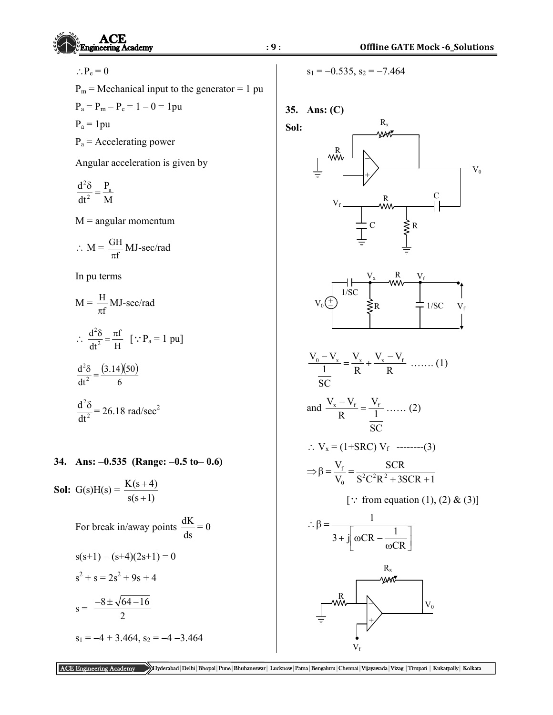

 $\therefore P_e = 0$ 

 $P_m$  = Mechanical input to the generator = 1 pu

 $P_a = P_m - P_e = 1 - 0 = 1$  pu

 $P_a = 1pu$ 

 $P_a$  = Accelerating power

Angular acceleration is given by

$$
\frac{d^2\delta}{dt^2} = \frac{P_a}{M}
$$

 $M =$  angular momentum

$$
\therefore \ M = \frac{GH}{\pi f} \ MJ\text{-}sec/rad
$$

In pu terms

$$
M = \frac{H}{\pi f} MJ\text{-sec/rad}
$$
  
\n
$$
\therefore \frac{d^2 \delta}{dt^2} = \frac{\pi f}{H} \quad [\because P_a = 1 \text{ pu}]
$$
  
\n
$$
\frac{d^2 \delta}{dt^2} = \frac{(3.14)(50)}{6}
$$
  
\n
$$
\frac{d^2 \delta}{dt^2} = 26.18 \text{ rad/sec}^2
$$

#### **34. Ans: 0.535 (Range: 0.5 to 0.6)**

**Sol:** G(s)H(s) =  $\frac{K(s+4)}{K(s+4)}$  $s(s+1)$  $^{+}$  $^{+}$ 

For break in/away points 
$$
\frac{dK}{ds} = 0
$$
  
\n $s(s+1) - (s+4)(2s+1) = 0$   
\n $s^2 + s = 2s^2 + 9s + 4$   
\n $s = \frac{-8 \pm \sqrt{64 - 16}}{2}$   
\n $s_1 = -4 + 3.464, s_2 = -4 - 3.464$ 

 $s_1 = -0.535$ ,  $s_2 = -7.464$ 

**35. Ans: (C)** 

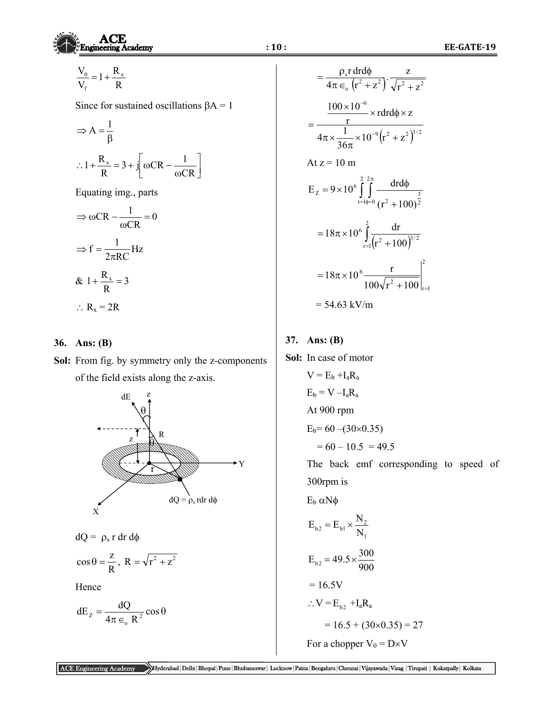$$
\frac{V_0}{V_f} = 1 + \frac{R_x}{R}
$$

Since for sustained oscillations  $\beta A = 1$ 

$$
\Rightarrow A = \frac{1}{\beta}
$$
  
:.1 +  $\frac{R_x}{R}$  = 3 +  $j \left[ \omega CR - \frac{1}{\omega CR} \right]$ 

Equating img., parts

$$
\Rightarrow \omega CR - \frac{1}{\omega CR} = 0
$$

$$
\Rightarrow f = \frac{1}{2\pi RC} Hz
$$

$$
\& 1 + \frac{R_x}{R} = 3
$$

$$
\therefore R_x = 2R
$$

### **36. Ans: (B)**

**Sol:** From fig. by symmetry only the z-components of the field exists along the z-axis.



 $dQ = \rho_s r dr d\phi$ 

$$
\cos \theta = \frac{z}{R}, R = \sqrt{r^2 + z^2}
$$

Hence

$$
dE_z = \frac{dQ}{4\pi \epsilon_0 R^2} \cos \theta
$$

$$
= \frac{\rho_s r dr d\phi}{4\pi \epsilon_o (r^2 + z^2)} \cdot \frac{z}{\sqrt{r^2 + z^2}}
$$
  
\n
$$
= \frac{100 \times 10^{-6}}{r} \times r dr d\phi \times z
$$
  
\n
$$
= \frac{1}{4\pi \times \frac{1}{36\pi} \times 10^{-9} (r^2 + z^2)^{3/2}}
$$
  
\nAt  $z = 10$  m  
\n
$$
E_z = 9 \times 10^6 \int_{r=l\phi=0}^{2} \frac{dr d\phi}{(r^2 + 100)^{\frac{3}{2}}}
$$
  
\n
$$
= 18\pi \times 10^6 \int_{r=l}^{2} \frac{dr}{(r^2 + 100)^{3/2}}
$$
  
\n
$$
= 18\pi \times 10^6 \frac{r}{100\sqrt{r^2 + 100}} \Big|_{r=l}^{2}
$$
  
\n
$$
= 54.63 \text{ kV/m}
$$

## **37. Ans: (B)**

**Sol:** In case of motor  $V = E_b + I_a R_a$  $E_b = V - I_a R_a$  At 900 rpm  $E_b = 60 - (30 \times 0.35)$  $= 60 - 10.5 = 49.5$ 

> The back emf corresponding to speed of 300rpm is

 $E_b \alpha N \phi$ 

$$
E_{b2} = E_{b1} \times \frac{N_2}{N_1}
$$

$$
E_{b2} = 49.5 \times \frac{300}{900}
$$

$$
=16.5V
$$

$$
\therefore V \equiv E_{\text{b2}} \dashv I_a R_a
$$

 $= 16.5 + (30 \times 0.35) = 27$ 

For a chopper  $V_0 = D \times V$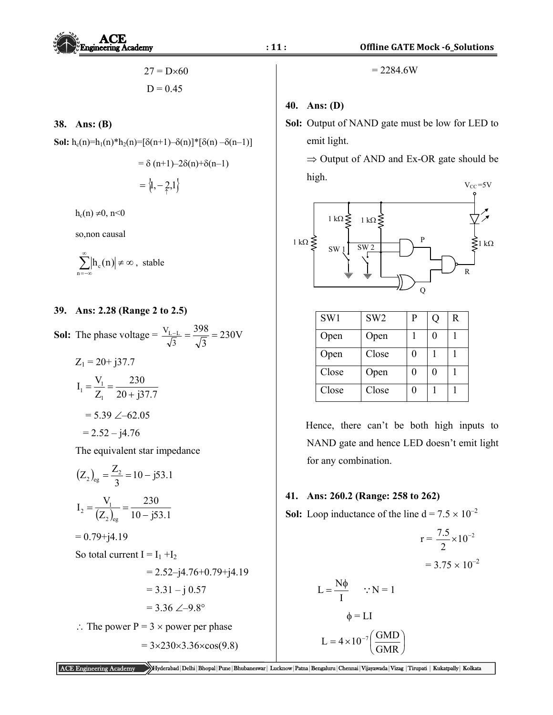$$
27 = D \times 60
$$

$$
D = 0.45
$$

#### **38. Ans: (B)**

**Sol:** 
$$
h_c(n)=h_1(n)*h_2(n)=[\delta(n+1)-\delta(n)]*[\delta(n)-\delta(n-1)]
$$

$$
= \delta (n+1) - 2\delta(n) + \delta(n-1)
$$

$$
= \left\langle 1, -\frac{2}{n}, 1 \right\rangle
$$

 $h_c(n) \neq 0, n < 0$ 

so,non causal

$$
\sum_{n=-\infty}^\infty\!\! \left|h_{\rm c}(n)\right|\!\neq\infty\,,\,\,\text{stable}
$$

### **39. Ans: 2.28 (Range 2 to 2.5)**

**Sol:** The phase voltage =  $\frac{V_{L-L}}{\sqrt{3}} = \frac{398}{\sqrt{3}} = 230V$ 3  $=\frac{398}{5}$ 

$$
Z_1 = 20+ j37.7
$$
  
\n
$$
I_1 = \frac{V_1}{Z_1} = \frac{230}{20 + j37.7}
$$
  
\n
$$
= 5.39 \angle -62.05
$$
  
\n
$$
= 2.52 - j4.76
$$

The equivalent star impedance

$$
(Z_2)_{eg} = \frac{Z_2}{3} = 10 - j53.1
$$
  
\n
$$
I_2 = \frac{V_1}{(Z_2)_{eg}} = \frac{230}{10 - j53.1}
$$
  
\n= 0.79+j4.19  
\nSo total current I = I<sub>1</sub> +I<sub>2</sub>  
\n= 2.52-j4.76+0.79+j4.19  
\n= 3.31 - j 0.57  
\n= 3.36 \angle -9.8^\circ  
\n $\therefore$  The power P = 3 × power per phase  
\n= 3×230×3.36×cos(9.8)

 $= 2284.6W$ 

#### **40. Ans: (D)**

**Sol:** Output of NAND gate must be low for LED to emit light.

 $\Rightarrow$  Output of AND and Ex-OR gate should be high.



| SW1   | SW <sub>2</sub> | P | R |
|-------|-----------------|---|---|
| Open  | Open            |   |   |
| Open  | Close           |   |   |
| Close | Open            |   |   |
| Close | Close           |   |   |

 Hence, there can't be both high inputs to NAND gate and hence LED doesn't emit light for any combination.

#### **41. Ans: 260.2 (Range: 258 to 262)**

**Sol:** Loop inductance of the line  $d = 7.5 \times 10^{-2}$ 

$$
r = \frac{7.5}{2} \times 10^{-2}
$$

$$
= 3.75 \times 10^{-2}
$$

$$
= 3.75 \times 10^{-2}
$$

$$
\Phi = LI
$$

$$
L = 4 \times 10^{-7} \left(\frac{GMD}{GMR}\right)
$$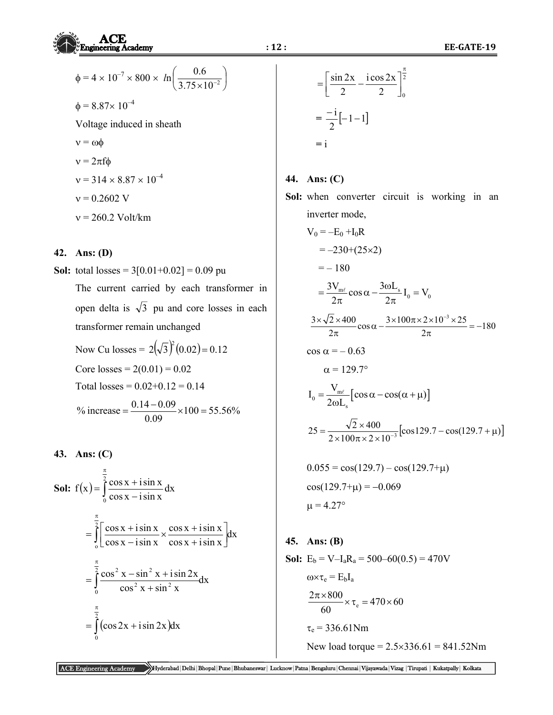$$
\phi = 4 \times 10^{-7} \times 800 \times ln\left(\frac{0.6}{3.75 \times 10^{-2}}\right)
$$
  
\n
$$
\phi = 8.87 \times 10^{-4}
$$
  
\nVoltage induced in sheath  
\n
$$
v = \omega \phi
$$
  
\n
$$
v = 2\pi f \phi
$$
  
\n
$$
v = 314 \times 8.87 \times 10^{-4}
$$
  
\n
$$
v = 0.2602 \text{ V}
$$
  
\n
$$
v = 260.2 \text{ Volt/km}
$$

#### **42. Ans: (D)**

**Sol:** total losses =  $3[0.01+0.02] = 0.09$  pu

 The current carried by each transformer in open delta is  $\sqrt{3}$  pu and core losses in each transformer remain unchanged Now Cu losses =  $2(\sqrt{3})^2(0.02) = 0.12$ Core losses =  $2(0.01) = 0.02$ Total losses =  $0.02+0.12 = 0.14$ % increase  $=\frac{0.14 - 0.09}{0.080} \times 100 = 55.56\%$  $=\frac{0.14-0.09}{0.08} \times 100=$ 

0.09

**43. Ans: (C) Sol:**  $f(x) = \int$  $\pi$ - $=\int_{0}^{2} \frac{\cos x +}{}$ 0 dx  $\cos x - i \sin x$  $f(x) = \int_0^2 \frac{\cos x + i \sin x}{i}$  $=$   $\left| \frac{\cos x + i \sin x}{i} \times \frac{\cos x + i \sin x}{i} \right| dx$  $\cos x + i \sin x$  $\cos x + i \sin x$  $\cos x - i\sin x$  $\int_0^2 \left[ \cos x + i \sin x \right]$  $\int\limits_{\Omega}$ π  $\left[\frac{\cos x + i \sin x}{\cos x - i \sin x}, \frac{\cos x + i \sin x}{\cos x + i \sin x}\right]$  $\mathbf{r}$  $\ddot{}$  $=\int_{0}^{2}\left[\frac{\cos x + i\sin x}{\cos x - i\sin x}\times\frac{\cos x + i\sin x}{\cos x + i\sin x}\right]$  $=$   $\frac{\cos x}{2} \cdot \frac{\sin x + i \sin 2x}{2} dx$  $\cos^2 x + \sin^2 x$  $\int_0^2 \cos^2 x - \sin^2 x + i \sin 2x$ 0  $2 \times 1$   $\sin^2$  $\int_0^2 \frac{\cos^2 x - \sin^2 x}{\cos^2 x}$ π  $^{+}$  $=\int_0^2 \frac{\cos^2 x - \sin^2 x + \sin^2 x}{2}$  $=\int$  (cos 2x + i sin 2x) π 2  $\cos 2x + i \sin 2x$  dx

0

$$
= \left[\frac{\sin 2x}{2} - \frac{\cos 2x}{2}\right]_0^{\frac{\pi}{2}}
$$

$$
= \frac{-i}{2}[-1 - 1]
$$

$$
= i
$$

### **44. Ans: (C)**

**Sol:** when converter circuit is working in an inverter mode,

$$
V_0 = -E_0 + I_0R
$$
  
= -230+(25×2)  
= -180  

$$
= \frac{3V_{m\ell}}{2\pi} cos α - \frac{3ωL_s}{2π} I_0 = V_0
$$
  

$$
\frac{3 \times \sqrt{2} \times 400}{2\pi} cos α - \frac{3 \times 100π \times 2 \times 10^{-3} \times 25}{2\pi} = -180
$$
  

$$
cos α = -0.63
$$
  

$$
α = 129.7^\circ
$$
  

$$
I_0 = \frac{V_{m\ell}}{2ωL_s} [cos α - cos(α + μ)]
$$
  

$$
25 = \frac{\sqrt{2} \times 400}{2 \times 100π \times 2 \times 10^{-3}} [cos 129.7 - cos(129.7 + μ)]
$$
  
0.055 = cos(129.7) - cos(129.7+μ)

$$
\cos(129.7 + \mu) = -0.069
$$
  

$$
\mu = 4.27^{\circ}
$$

## **45. Ans: (B)**

**Sol:**  $E_b = V - I_a R_a = 500 - 60(0.5) = 470V$  $\omega \times \tau_e = E_b I_a$  $\frac{2\pi\times800}{60}\times\tau_e=470\times60$ 60  $\frac{\pi \times 800}{\sigma \sqrt{2}} \times \tau_e = 470 \times$  $\tau_e$  = 336.61Nm New load torque =  $2.5 \times 336.61 = 841.52$ Nm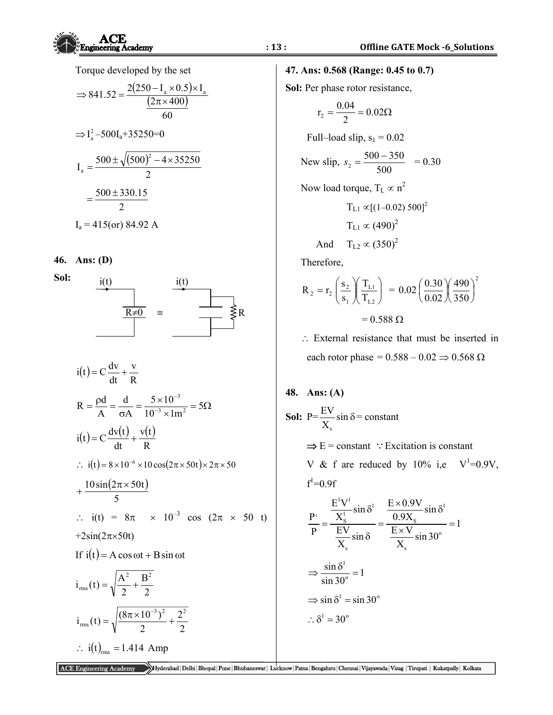Torque developed by the set

$$
\Rightarrow 841.52 = \frac{2(250 - I_a \times 0.5) \times I_a}{(2\pi \times 400)}
$$

$$
\Rightarrow I_a^2 - 500I_a + 35250 = 0
$$

$$
I_a = \frac{500 \pm \sqrt{(500)^2 - 4 \times 35250}}{2}
$$

$$
= \frac{500 \pm 330.15}{2}
$$

$$
I_a = 415
$$
(or) 84.92 A

#### **46. Ans: (D)**

**Sol:** 



$$
i(t) = C \frac{dv}{dt} + \frac{v}{R}
$$
  
\nR =  $\frac{\rho d}{A} = \frac{d}{\sigma A} = \frac{5 \times 10^{-3}}{10^{-3} \times 1m^{2}} = 5\Omega$   
\n
$$
i(t) = C \frac{dv(t)}{dt} + \frac{v(t)}{R}
$$
  
\n∴ i(t) = 8 × 10<sup>-6</sup> × 10 cos(2π × 50t) × 2π × 50  
\n+  $\frac{10 sin(2π × 50t)}{5}$   
\n∴ i(t) = 8π × 10<sup>-3</sup> cos (2π × 50 t)  
\n+2sin(2π×50t)  
\nIf i(t) = A cos ωt + B sin ωt  
\n
$$
i_{\text{ms}}(t) = \sqrt{\frac{A^{2}}{2} + \frac{B^{2}}{2}}
$$
\n
$$
i_{\text{ms}}(t) = \sqrt{\frac{(8π × 10^{-3})^{2}}{2} + \frac{2^{2}}{2}}
$$
\n∴ i(t)<sub>rms</sub> = 1.414 Amp

## **47. Ans: 0.568 (Range: 0.45 to 0.7)**

**Sol:** Per phase rotor resistance,

$$
r_2 = \frac{0.04}{2} = 0.02\Omega
$$

Full–load slip,  $s_1 = 0.02$ 

New slip, 
$$
s_2 = \frac{500 - 350}{500} = 0.30
$$

Now load torque,  $T_L \propto n^2$ 

$$
T_{L1} \propto [(1-0.02) 500]^2
$$
  
\n
$$
T_{L1} \propto (490)^2
$$
  
\nAnd 
$$
T_{L2} \propto (350)^2
$$

Therefore,

$$
R_2 = r_2 \left(\frac{s_2}{s_1}\right) \left(\frac{T_{L1}}{T_{L2}}\right) = 0.02 \left(\frac{0.30}{0.02}\right) \left(\frac{490}{350}\right)^2
$$

$$
= 0.588 \ \Omega
$$

 External resistance that must be inserted in each rotor phase =  $0.588 - 0.02 \Rightarrow 0.568 \Omega$ 

48. Ans: (A)  
\nSol: 
$$
P = \frac{EV}{X_s} \sin \delta = \text{constant}
$$
  
\n $\Rightarrow E = \text{constant}$  :: Excitation is constant  
\nV & f are reduced by 10% i.e  $V^1=0.9V$ ,  
\n $f^1=0.9f$   
\n $\frac{P^1}{P} = \frac{\frac{E^1 V^1}{X_s} \sin \delta^1}{\frac{EV}{X_s} \sin \delta} = \frac{\frac{E \times 0.9V}{0.9X_s} \sin \delta^1}{\frac{E \times V}{X_s} \sin 30^\circ} = 1$ 

$$
\Rightarrow \frac{\sin \delta^1}{\sin 30^\circ} = 1
$$
  

$$
\Rightarrow \sin \delta^1 = \sin 30^\circ
$$
  

$$
\therefore \delta^1 = 30^\circ
$$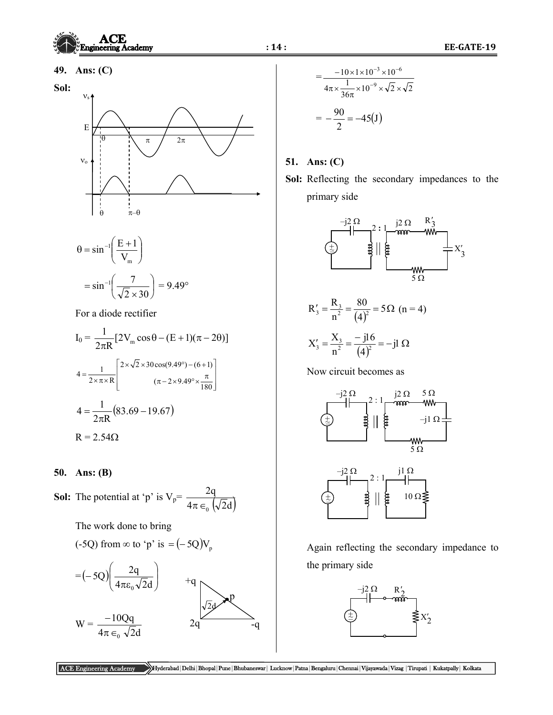## **49. Ans: (C)**

## **Sol:**



$$
\theta = \sin^{-1}\left(\frac{E+1}{V_m}\right)
$$

$$
= \sin^{-1}\left(\frac{7}{\sqrt{2} \times 30}\right) = 9.49^{\circ}
$$

For a diode rectifier

$$
I_0 = \frac{1}{2\pi R} [2V_m \cos\theta - (E+1)(\pi - 2\theta)]
$$
  

$$
4 = \frac{1}{2\times\pi\times R} \left[ \frac{2 \times \sqrt{2} \times 30 \cos(9.49^\circ) - (6+1)}{(\pi - 2 \times 9.49^\circ \times \frac{\pi}{180})} \right]
$$
  

$$
4 = \frac{1}{2\pi R} (83.69 - 19.67)
$$
  

$$
R = 2.54\Omega
$$

#### **50. Ans: (B)**

**Sol:** The potential at 'p' is  $V_p$ =  $4\pi \in_{0} (\sqrt{2d})$ 2q  $\pi \in$ <sub>0</sub>

The work done to bring

$$
(-5Q)
$$
 from  $\infty$  to 'p' is  $=(-5Q)V_p$ 



$$
= \frac{-10 \times 1 \times 10^{-3} \times 10^{-6}}{4\pi \times \frac{1}{36\pi} \times 10^{-9} \times \sqrt{2} \times \sqrt{2}}
$$

$$
= -\frac{90}{2} = -45(J)
$$

## **51. Ans: (C)**

**Sol:** Reflecting the secondary impedances to the primary side



$$
R'_{3} = \frac{R_{3}}{n^{2}} = \frac{80}{(4)^{2}} = 5\Omega \ \ (n = 4)
$$

$$
X_3' = \frac{X_3}{n^2} = \frac{-j16}{(4)^2} = -j1 \Omega
$$

Now circuit becomes as



Again reflecting the secondary impedance to the primary side

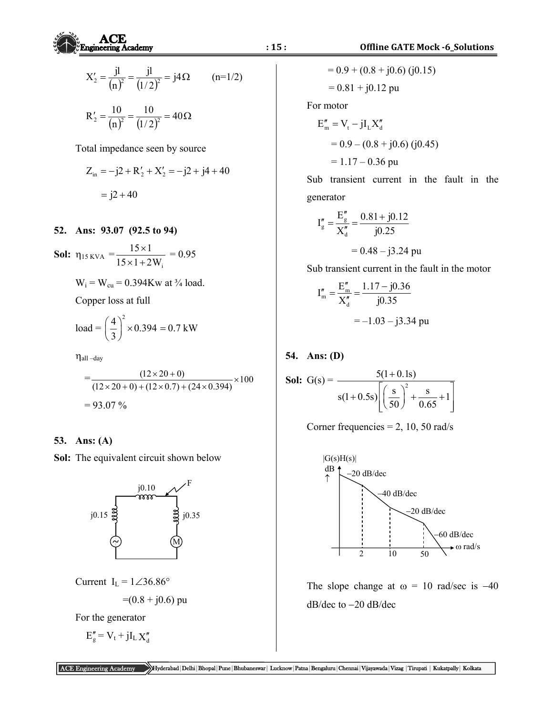$$
X'_{2} = \frac{j!}{(n)^{2}} = \frac{j!}{(1/2)^{2}} = j4\Omega \qquad (n=1/2)
$$
  

$$
R'_{2} = \frac{10}{(n)^{2}} = \frac{10}{(1/2)^{2}} = 40\Omega
$$

Total impedance seen by source

$$
Z_{in} = -j2 + R'_2 + X'_2 = -j2 + j4 + 40
$$

$$
= j2 + 40
$$

#### **52. Ans: 93.07 (92.5 to 94)**

**Sol:** 
$$
\eta_{15 \text{ KVA}} = \frac{15 \times 1}{15 \times 1 + 2W_i} = 0.95
$$

 $W_i = W_{cu} = 0.394Kw$  at  $\frac{3}{4}$  load.

Copper loss at full

load = 
$$
\left(\frac{4}{3}\right)^2 \times 0.394 = 0.7 \text{ kW}
$$

 $\eta$ all –day

$$
=\frac{(12\times20+0)}{(12\times20+0)+(12\times0.7)+(24\times0.394)}\times100
$$
  
= 93.07 %

### **53. Ans: (A)**

**Sol:** The equivalent circuit shown below



$$
Current I_L = 1 \angle 36.86^\circ
$$

$$
=(0.8 + j0.6)
$$
 pu

For the generator

$$
E_g'' = V_t + jI_L X_d''
$$

 $= 0.9 + (0.8 + j0.6)$  (j0.15)  $= 0.81 + j0.12$  pu

For motor

$$
E''_m = V_t - jI_L X''_d
$$
  
= 0.9 - (0.8 + j0.6) (j0.45)  
= 1.17 - 0.36 pu

 Sub transient current in the fault in the generator

$$
I''_g = \frac{E''_g}{X''_d} = \frac{0.81 + j0.12}{j0.25}
$$
  
= 0.48 - j3.24 pu

Sub transient current in the fault in the motor

$$
I''_m = \frac{E''_m}{X''_d} = \frac{1.17 - j0.36}{j0.35}
$$
  
= -1.03 - j3.34 pu

### **54. Ans: (D)**

**Sol:** G(s) = 
$$
\frac{5(1+0.1s)}{s(1+0.5s)\left[\left(\frac{s}{50}\right)^2 + \frac{s}{0.65} + 1\right]}
$$

$$
Corner frequencies = 2, 10, 50 \text{ rad/s}
$$



The slope change at  $\omega = 10$  rad/sec is -40  $dB/dec$  to  $-20$  dB/dec